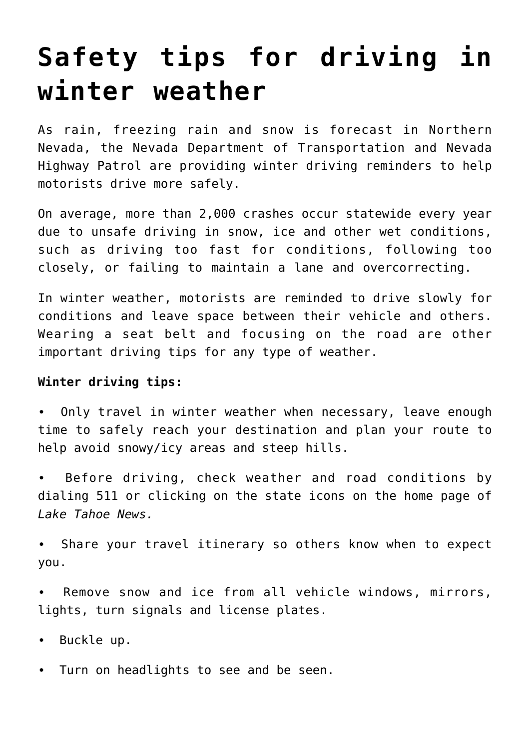## **[Safety tips for driving in](https://www.laketahoenews.net/2016/12/safety-tips-driving-winter-weather/) [winter weather](https://www.laketahoenews.net/2016/12/safety-tips-driving-winter-weather/)**

As rain, freezing rain and snow is forecast in Northern Nevada, the Nevada Department of Transportation and Nevada Highway Patrol are providing winter driving reminders to help motorists drive more safely.

On average, more than 2,000 crashes occur statewide every year due to unsafe driving in snow, ice and other wet conditions, such as driving too fast for conditions, following too closely, or failing to maintain a lane and overcorrecting.

In winter weather, motorists are reminded to drive slowly for conditions and leave space between their vehicle and others. Wearing a seat belt and focusing on the road are other important driving tips for any type of weather.

## **Winter driving tips:**

∙ Only travel in winter weather when necessary, leave enough time to safely reach your destination and plan your route to help avoid snowy/icy areas and steep hills.

∙ Before driving, check weather and road conditions by dialing 511 or clicking on the state icons on the home page of *Lake Tahoe News.*

∙ Share your travel itinerary so others know when to expect you.

Remove snow and ice from all vehicle windows, mirrors, lights, turn signals and license plates.

∙ Buckle up.

∙ Turn on headlights to see and be seen.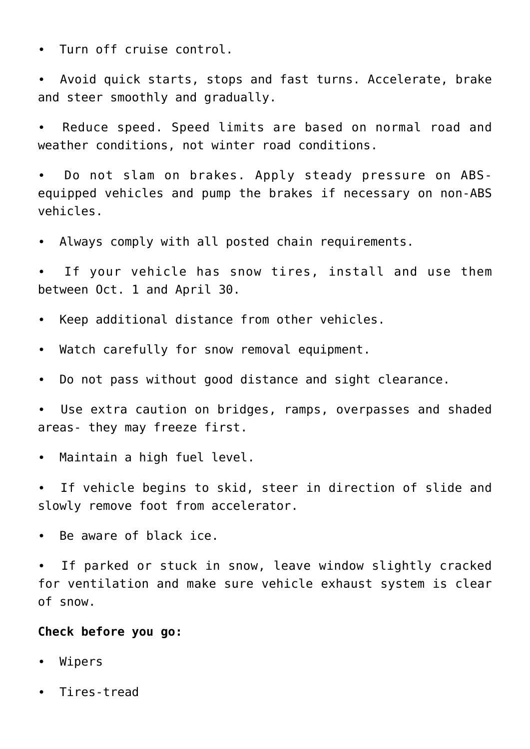∙ Turn off cruise control.

∙ Avoid quick starts, stops and fast turns. Accelerate, brake and steer smoothly and gradually.

∙ Reduce speed. Speed limits are based on normal road and weather conditions, not winter road conditions.

∙ Do not slam on brakes. Apply steady pressure on ABSequipped vehicles and pump the brakes if necessary on non-ABS vehicles.

∙ Always comply with all posted chain requirements.

∙ If your vehicle has snow tires, install and use them between Oct. 1 and April 30.

- ∙ Keep additional distance from other vehicles.
- ∙ Watch carefully for snow removal equipment.
- ∙ Do not pass without good distance and sight clearance.

∙ Use extra caution on bridges, ramps, overpasses and shaded areas- they may freeze first.

∙ Maintain a high fuel level.

∙ If vehicle begins to skid, steer in direction of slide and slowly remove foot from accelerator.

∙ Be aware of black ice.

∙ If parked or stuck in snow, leave window slightly cracked for ventilation and make sure vehicle exhaust system is clear of snow.

## **Check before you go:**

- ∙ Wipers
- ∙ Tires-tread